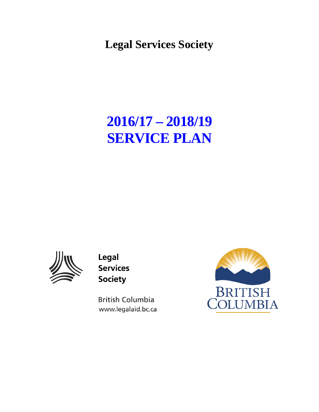**Legal Services Society**

# **2016/17 – 2018/19 SERVICE PLAN**



Legal **Services Society** 

**British Columbia** www.legalaid.bc.ca

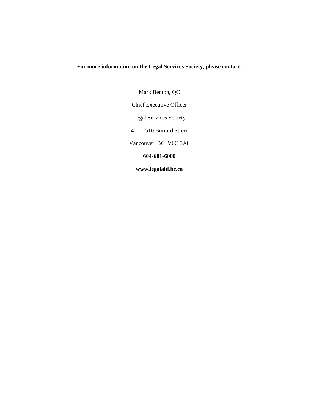#### **For more information on the Legal Services Society, please contact:**

Mark Benton, QC Chief Executive Officer Legal Services Society 400 – 510 Burrard Street Vancouver, BC V6C 3A8 **604-601-6000 www.legalaid.bc.ca**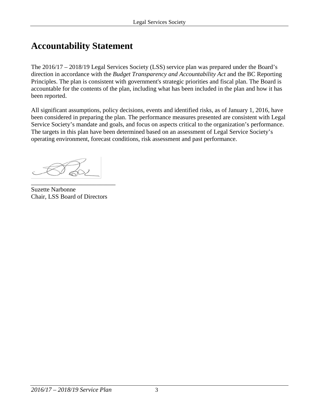## **Accountability Statement**

The 2016/17 – 2018/19 Legal Services Society (LSS) service plan was prepared under the Board's direction in accordance with the *Budget Transparency and Accountability Act* and the BC Reporting Principles. The plan is consistent with government's strategic priorities and fiscal plan. The Board is accountable for the contents of the plan, including what has been included in the plan and how it has been reported.

All significant assumptions, policy decisions, events and identified risks, as of January 1, 2016, have been considered in preparing the plan. The performance measures presented are consistent with Legal Service Society's mandate and goals, and focus on aspects critical to the organization's performance. The targets in this plan have been determined based on an assessment of Legal Service Society's operating environment, forecast conditions, risk assessment and past performance.

Suzette Narbonne Chair, LSS Board of Directors

\_\_\_\_\_\_\_\_\_\_\_\_\_\_\_\_\_\_\_\_\_\_\_\_\_\_\_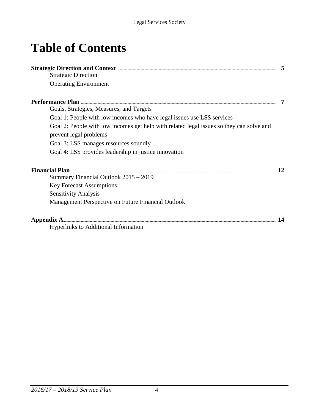# **Table of Contents**

| <b>Strategic Direction</b>                                                                                         |    |
|--------------------------------------------------------------------------------------------------------------------|----|
| <b>Operating Environment</b>                                                                                       |    |
|                                                                                                                    |    |
| Goals, Strategies, Measures, and Targets                                                                           |    |
| Goal 1: People with low incomes who have legal issues use LSS services                                             |    |
| Goal 2: People with low incomes get help with related legal issues so they can solve and<br>prevent legal problems |    |
| Goal 3: LSS manages resources soundly                                                                              |    |
| Goal 4: LSS provides leadership in justice innovation                                                              |    |
|                                                                                                                    | 12 |
| Summary Financial Outlook 2015 – 2019                                                                              |    |
| <b>Key Forecast Assumptions</b>                                                                                    |    |
| <b>Sensitivity Analysis</b>                                                                                        |    |
| Management Perspective on Future Financial Outlook                                                                 |    |
|                                                                                                                    |    |
| <b>Hyperlinks to Additional Information</b>                                                                        |    |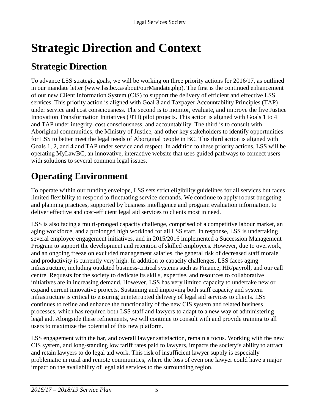# **Strategic Direction and Context**

## **Strategic Direction**

To advance LSS strategic goals, we will be working on three priority actions for 2016/17, as outlined in our mandate letter (www.lss.bc.ca/about/ourMandate.php). The first is the continued enhancement of our new Client Information System (CIS) to support the delivery of efficient and effective LSS services. This priority action is aligned with Goal 3 and Taxpayer Accountability Principles (TAP) under service and cost consciousness. The second is to monitor, evaluate, and improve the five Justice Innovation Transformation Initiatives (JITI) pilot projects. This action is aligned with Goals 1 to 4 and TAP under integrity, cost consciousness, and accountability. The third is to consult with Aboriginal communities, the Ministry of Justice, and other key stakeholders to identify opportunities for LSS to better meet the legal needs of Aboriginal people in BC. This third action is aligned with Goals 1, 2, and 4 and TAP under service and respect. In addition to these priority actions, LSS will be operating MyLawBC, an innovative, interactive website that uses guided pathways to connect users with solutions to several common legal issues.

# **Operating Environment**

To operate within our funding envelope, LSS sets strict eligibility guidelines for all services but faces limited flexibility to respond to fluctuating service demands. We continue to apply robust budgeting and planning practices, supported by business intelligence and program evaluation information, to deliver effective and cost-efficient legal aid services to clients most in need.

LSS is also facing a multi-pronged capacity challenge, comprised of a competitive labour market, an aging workforce, and a prolonged high workload for all LSS staff. In response, LSS is undertaking several employee engagement initiatives, and in 2015/2016 implemented a Succession Management Program to support the development and retention of skilled employees. However, due to overwork, and an ongoing freeze on excluded management salaries, the general risk of decreased staff morale and productivity is currently very high. In addition to capacity challenges, LSS faces aging infrastructure, including outdated business-critical systems such as Finance, HR/payroll, and our call centre. Requests for the society to dedicate its skills, expertise, and resources to collaborative initiatives are in increasing demand. However, LSS has very limited capacity to undertake new or expand current innovative projects. Sustaining and improving both staff capacity and system infrastructure is critical to ensuring uninterrupted delivery of legal aid services to clients. LSS continues to refine and enhance the functionality of the new CIS system and related business processes, which has required both LSS staff and lawyers to adapt to a new way of administering legal aid. Alongside these refinements, we will continue to consult with and provide training to all users to maximize the potential of this new platform.

LSS engagement with the bar, and overall lawyer satisfaction, remain a focus. Working with the new CIS system, and long-standing low tariff rates paid to lawyers, impacts the society's ability to attract and retain lawyers to do legal aid work. This risk of insufficient lawyer supply is especially problematic in rural and remote communities, where the loss of even one lawyer could have a major impact on the availability of legal aid services to the surrounding region.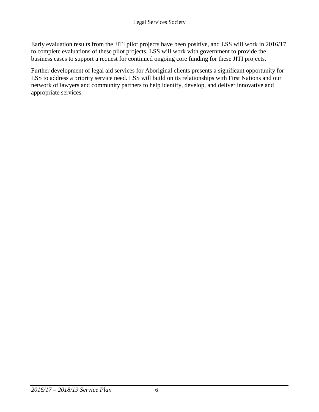Early evaluation results from the JITI pilot projects have been positive, and LSS will work in 2016/17 to complete evaluations of these pilot projects. LSS will work with government to provide the business cases to support a request for continued ongoing core funding for these JITI projects.

Further development of legal aid services for Aboriginal clients presents a significant opportunity for LSS to address a priority service need. LSS will build on its relationships with First Nations and our network of lawyers and community partners to help identify, develop, and deliver innovative and appropriate services.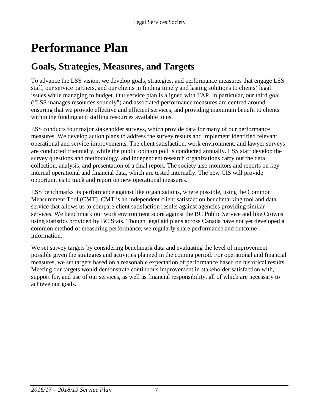# **Performance Plan**

## **Goals, Strategies, Measures, and Targets**

To advance the LSS vision, we develop goals, strategies, and performance measures that engage LSS staff, our service partners, and our clients in finding timely and lasting solutions to clients' legal issues while managing to budget. Our service plan is aligned with TAP. In particular, our third goal ("LSS manages resources soundly") and associated performance measures are centred around ensuring that we provide effective and efficient services, and providing maximum benefit to clients within the funding and staffing resources available to us.

LSS conducts four major stakeholder surveys, which provide data for many of our performance measures. We develop action plans to address the survey results and implement identified relevant operational and service improvements. The client satisfaction, work environment, and lawyer surveys are conducted triennially, while the public opinion poll is conducted annually. LSS staff develop the survey questions and methodology, and independent research organizations carry out the data collection, analysis, and presentation of a final report. The society also monitors and reports on key internal operational and financial data, which are tested internally. The new CIS will provide opportunities to track and report on new operational measures.

LSS benchmarks its performance against like organizations, where possible, using the Common Measurement Tool (CMT). CMT is an independent client satisfaction benchmarking tool and data service that allows us to compare client satisfaction results against agencies providing similar services. We benchmark our work environment score against the BC Public Service and like Crowns using statistics provided by BC Stats. Though legal aid plans across Canada have not yet developed a common method of measuring performance, we regularly share performance and outcome information.

We set survey targets by considering benchmark data and evaluating the level of improvement possible given the strategies and activities planned in the coming period. For operational and financial measures, we set targets based on a reasonable expectation of performance based on historical results. Meeting our targets would demonstrate continuous improvement in stakeholder satisfaction with, support for, and use of our services, as well as financial responsibility, all of which are necessary to achieve our goals.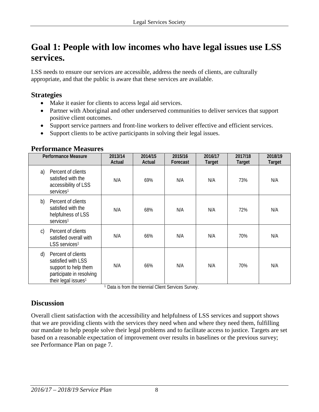### **Goal 1: People with low incomes who have legal issues use LSS services.**

LSS needs to ensure our services are accessible, address the needs of clients, are culturally appropriate, and that the public is aware that these services are available.

### **Strategies**

- Make it easier for clients to access legal aid services.
- Partner with Aboriginal and other underserved communities to deliver services that support positive client outcomes.
- Support service partners and front-line workers to deliver effective and efficient services.
- Support clients to be active participants in solving their legal issues.

#### **Performance Measures**

| <b>Performance Measure</b>                                                                                                            | 2013/14<br>Actual | 2014/15<br>Actual | 2015/16<br>Forecast | 2016/17<br><b>Target</b> | 2017/18<br>Target | 2018/19<br>Target |
|---------------------------------------------------------------------------------------------------------------------------------------|-------------------|-------------------|---------------------|--------------------------|-------------------|-------------------|
| a)<br>Percent of clients<br>satisfied with the<br>accessibility of LSS<br>services <sup>1</sup>                                       | N/A               | 69%               | N/A                 | N/A                      | 73%               | N/A               |
| b)<br>Percent of clients<br>satisfied with the<br>helpfulness of LSS<br>services <sup>1</sup>                                         | N/A               | 68%               | N/A                 | N/A                      | 72%               | N/A               |
| Percent of clients<br>C)<br>satisfied overall with<br>LSS services <sup>1</sup>                                                       | N/A               | 66%               | N/A                 | N/A                      | 70%               | N/A               |
| Percent of clients<br>d)<br>satisfied with LSS<br>support to help them<br>participate in resolving<br>their legal issues <sup>1</sup> | N/A               | 66%               | N/A                 | N/A                      | 70%               | N/A               |

<sup>1</sup> Data is from the triennial Client Services Survey.

### **Discussion**

Overall client satisfaction with the accessibility and helpfulness of LSS services and support shows that we are providing clients with the services they need when and where they need them, fulfilling our mandate to help people solve their legal problems and to facilitate access to justice. Targets are set based on a reasonable expectation of improvement over results in baselines or the previous survey; see Performance Plan on page 7.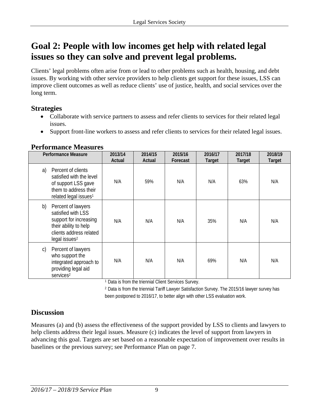### **Goal 2: People with low incomes get help with related legal issues so they can solve and prevent legal problems.**

Clients' legal problems often arise from or lead to other problems such as health, housing, and debt issues. By working with other service providers to help clients get support for these issues, LSS can improve client outcomes as well as reduce clients' use of justice, health, and social services over the long term.

### **Strategies**

- Collaborate with service partners to assess and refer clients to services for their related legal issues.
- Support front-line workers to assess and refer clients to services for their related legal issues.

| <b>Performance Measures</b> |  |
|-----------------------------|--|
|                             |  |

| <b>Performance Measure</b>                                                                                                                                | 2013/14<br>Actual | 2014/15<br>Actual | 2015/16<br>Forecast | 2016/17<br><b>Target</b> | 2017/18<br>Target | 2018/19<br>Target |
|-----------------------------------------------------------------------------------------------------------------------------------------------------------|-------------------|-------------------|---------------------|--------------------------|-------------------|-------------------|
| Percent of clients<br>a)<br>satisfied with the level<br>of support LSS gave<br>them to address their<br>related legal issues <sup>1</sup>                 | N/A               | 59%               | N/A                 | N/A                      | 63%               | N/A               |
| b)<br>Percent of lawyers<br>satisfied with LSS<br>support for increasing<br>their ability to help<br>clients address related<br>legal issues <sup>2</sup> | N/A               | N/A               | N/A                 | 35%                      | N/A               | N/A               |
| Percent of lawyers<br>$\mathsf{C}$<br>who support the<br>integrated approach to<br>providing legal aid<br>services <sup>2</sup>                           | N/A               | N/A               | N/A                 | 69%                      | N/A               | N/A               |

<sup>1</sup> Data is from the triennial Client Services Survey.

<sup>2</sup> Data is from the triennial Tariff Lawyer Satisfaction Survey. The 2015/16 lawyer survey has been postponed to 2016/17, to better align with other LSS evaluation work.

### **Discussion**

Measures (a) and (b) assess the effectiveness of the support provided by LSS to clients and lawyers to help clients address their legal issues. Measure (c) indicates the level of support from lawyers in advancing this goal. Targets are set based on a reasonable expectation of improvement over results in baselines or the previous survey; see Performance Plan on page 7.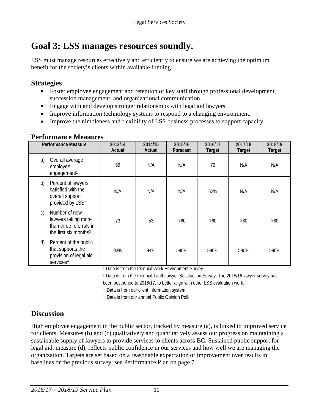### **Goal 3: LSS manages resources soundly.**

LSS must manage resources effectively and efficiently to ensure we are achieving the optimum benefit for the society's clients within available funding.

### **Strategies**

- Foster employee engagement and retention of key staff through professional development, succession management, and organizational communication.
- Engage with and develop stronger relationships with legal aid lawyers.
- Improve information technology systems to respond to a changing environment.
- Improve the nimbleness and flexibility of LSS business processes to support capacity.

#### **Performance Measures**

|              | <b>Performance Measure</b>                                                                           | 2013/14<br>Actual | 2014/15<br>Actual | 2015/16<br>Forecast | 2016/17<br><b>Target</b> | 2017/18<br><b>Target</b> | 2018/19<br>Target |
|--------------|------------------------------------------------------------------------------------------------------|-------------------|-------------------|---------------------|--------------------------|--------------------------|-------------------|
| a)           | Overall average<br>employee<br>engagement <sup>1</sup>                                               | 69                | N/A               | N/A                 | 70                       | N/A                      | N/A               |
| b)           | Percent of lawyers<br>satisfied with the<br>overall support<br>provided by LSS <sup>2</sup>          | N/A               | N/A               | N/A                 | 62%                      | N/A                      | N/A               |
| $\mathsf{C}$ | Number of new<br>lawyers taking more<br>than three referrals in<br>the first six months <sup>3</sup> | 73                | 53                | $>60$               | $>60$                    | $>60$                    | >60               |
| d)           | Percent of the public<br>that supports the<br>provision of legal aid<br>services <sup>4</sup>        | 93%               | 94%               | $>90\%$             | $>90\%$                  | $>90\%$                  | $>90\%$           |

<sup>1</sup> Data is from the triennial Work Environment Survey.

<sup>2</sup> Data is from the triennial Tariff Lawyer Satisfaction Survey. The 2015/16 lawyer survey has been postponed to 2016/17, to better align with other LSS evaluation work.

3 Data is from our client information system.

4 Data is from our annual Public Opinion Poll.

### **Discussion**

High employee engagement in the public sector, tracked by measure (a), is linked to improved service for clients. Measures (b) and (c) qualitatively and quantitatively assess our progress on maintaining a sustainable supply of lawyers to provide services to clients across BC. Sustained public support for legal aid, measure (d), reflects public confidence in our services and how well we are managing the organization. Targets are set based on a reasonable expectation of improvement over results in baselines or the previous survey; see Performance Plan on page 7.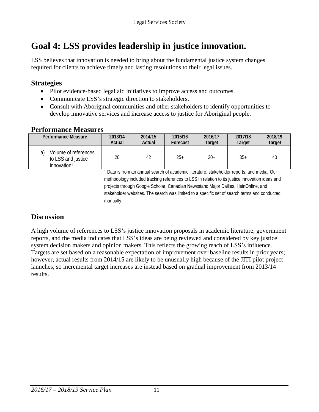## **Goal 4: LSS provides leadership in justice innovation.**

LSS believes that innovation is needed to bring about the fundamental justice system changes required for clients to achieve timely and lasting resolutions to their legal issues.

### **Strategies**

- Pilot evidence-based legal aid initiatives to improve access and outcomes.
- Communicate LSS's strategic direction to stakeholders.
- Consult with Aboriginal communities and other stakeholders to identify opportunities to develop innovative services and increase access to justice for Aboriginal people.

#### **Performance Measures**

| Performance Measure                                                         | 2013/14 | 2014/15 | 2015/16  | 2016/17 | 2017/18 | 2018/19 |
|-----------------------------------------------------------------------------|---------|---------|----------|---------|---------|---------|
|                                                                             | Actual  | Actual  | Forecast | Target  | Target  | Target  |
| Volume of references<br>a)<br>to LSS and justice<br>innovation <sup>1</sup> | 20      | 42      | $25+$    | $30+$   | $35+$   | 40      |

<sup>1</sup> Data is from an annual search of academic literature, stakeholder reports, and media. Our methodology included tracking references to LSS in relation to its justice innovation ideas and projects through Google Scholar, Canadian Newsstand Major Dailies, HeinOnline, and stakeholder websites. The search was limited to a specific set of search terms and conducted manually.

### **Discussion**

A high volume of references to LSS's justice innovation proposals in academic literature, government reports, and the media indicates that LSS's ideas are being reviewed and considered by key justice system decision makers and opinion makers. This reflects the growing reach of LSS's influence. Targets are set based on a reasonable expectation of improvement over baseline results in prior years; however, actual results from 2014/15 are likely to be unusually high because of the JITI pilot project launches, so incremental target increases are instead based on gradual improvement from 2013/14 results.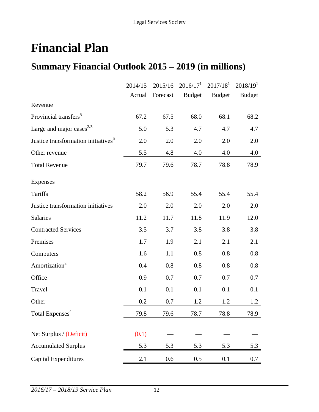# **Financial Plan**

## **Summary Financial Outlook 2015 – 2019 (in millions)**

|                                                 | 2014/15 | 2015/16  | 2016/17 <sup>1</sup> | 2017/18 <sup>1</sup> | 2018/19 <sup>1</sup> |
|-------------------------------------------------|---------|----------|----------------------|----------------------|----------------------|
|                                                 | Actual  | Forecast | <b>Budget</b>        | <b>Budget</b>        | <b>Budget</b>        |
| Revenue                                         |         |          |                      |                      |                      |
| Provincial transfers <sup>5</sup>               | 67.2    | 67.5     | 68.0                 | 68.1                 | 68.2                 |
| Large and major cases $^{2/5}$                  | 5.0     | 5.3      | 4.7                  | 4.7                  | 4.7                  |
| Justice transformation initiatives <sup>5</sup> | 2.0     | 2.0      | 2.0                  | 2.0                  | 2.0                  |
| Other revenue                                   | 5.5     | 4.8      | 4.0                  | 4.0                  | 4.0                  |
| <b>Total Revenue</b>                            | 79.7    | 79.6     | 78.7                 | 78.8                 | 78.9                 |
| <b>Expenses</b>                                 |         |          |                      |                      |                      |
| <b>Tariffs</b>                                  | 58.2    | 56.9     | 55.4                 | 55.4                 | 55.4                 |
| Justice transformation initiatives              | 2.0     | 2.0      | 2.0                  | 2.0                  | 2.0                  |
| Salaries                                        | 11.2    | 11.7     | 11.8                 | 11.9                 | 12.0                 |
| <b>Contracted Services</b>                      | 3.5     | 3.7      | 3.8                  | 3.8                  | 3.8                  |
| Premises                                        | 1.7     | 1.9      | 2.1                  | 2.1                  | 2.1                  |
| Computers                                       | 1.6     | 1.1      | 0.8                  | 0.8                  | 0.8                  |
| Amortization <sup>3</sup>                       | 0.4     | 0.8      | 0.8                  | 0.8                  | 0.8                  |
| Office                                          | 0.9     | 0.7      | 0.7                  | 0.7                  | 0.7                  |
| Travel                                          | 0.1     | 0.1      | 0.1                  | 0.1                  | 0.1                  |
| Other                                           | 0.2     | 0.7      | 1.2                  | 1.2                  | 1.2                  |
| Total Expenses <sup>4</sup>                     | 79.8    | 79.6     | 78.7                 | 78.8                 | 78.9                 |
| Net Surplus / (Deficit)                         | (0.1)   |          |                      |                      |                      |
|                                                 |         |          |                      |                      |                      |
| <b>Accumulated Surplus</b>                      | 5.3     | 5.3      | 5.3                  | 5.3                  | 5.3                  |
| <b>Capital Expenditures</b>                     | 2.1     | 0.6      | 0.5                  | 0.1                  | 0.7                  |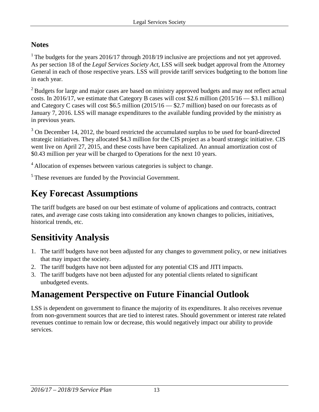### **Notes**

<sup>1</sup> The budgets for the years 2016/17 through 2018/19 inclusive are projections and not yet approved. As per section 18 of the *Legal Services Society Act*, LSS will seek budget approval from the Attorney General in each of those respective years. LSS will provide tariff services budgeting to the bottom line in each year.

<sup>2</sup> Budgets for large and major cases are based on ministry approved budgets and may not reflect actual costs. In 2016/17, we estimate that Category B cases will cost \$2.6 million (2015/16 — \$3.1 million) and Category C cases will cost \$6.5 million (2015/16 — \$2.7 million) based on our forecasts as of January 7, 2016. LSS will manage expenditures to the available funding provided by the ministry as in previous years.

<sup>3</sup> On December 14, 2012, the board restricted the accumulated surplus to be used for board-directed strategic initiatives. They allocated \$4.3 million for the CIS project as a board strategic initiative. CIS went live on April 27, 2015, and these costs have been capitalized. An annual amortization cost of \$0.43 million per year will be charged to Operations for the next 10 years.

<sup>4</sup> Allocation of expenses between various categories is subject to change.

<sup>5</sup> These revenues are funded by the Provincial Government.

## **Key Forecast Assumptions**

The tariff budgets are based on our best estimate of volume of applications and contracts, contract rates, and average case costs taking into consideration any known changes to policies, initiatives, historical trends, etc.

# **Sensitivity Analysis**

- 1. The tariff budgets have not been adjusted for any changes to government policy, or new initiatives that may impact the society.
- 2. The tariff budgets have not been adjusted for any potential CIS and JITI impacts.
- 3. The tariff budgets have not been adjusted for any potential clients related to significant unbudgeted events.

## **Management Perspective on Future Financial Outlook**

LSS is dependent on government to finance the majority of its expenditures. It also receives revenue from non-government sources that are tied to interest rates. Should government or interest rate related revenues continue to remain low or decrease, this would negatively impact our ability to provide services.